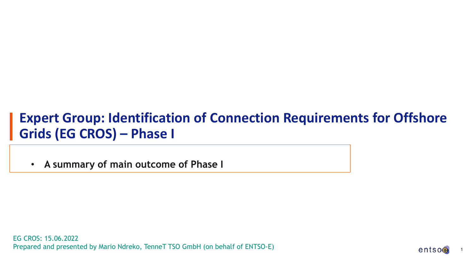### **Expert Group: Identification of Connection Requirements for Offshore Grids (EG CROS) – Phase I**

• **A summary of main outcome of Phase I**

EG CROS: 15.06.2022 Prepared and presented by Mario Ndreko, TenneT TSO GmbH (on behalf of ENTSO-E)

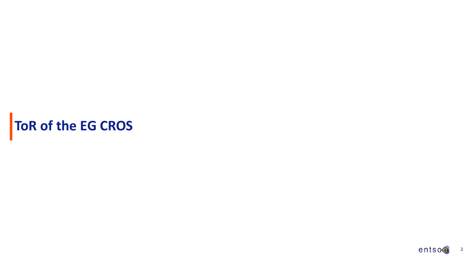# **ToR of the EG CROS**

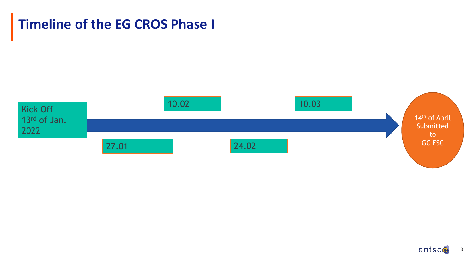



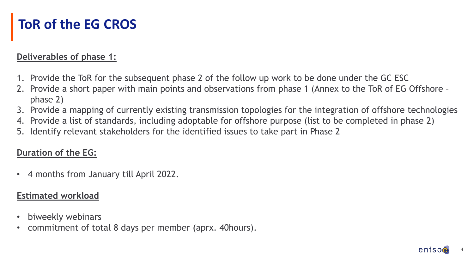# **ToR of the EG CROS**

#### **Deliverables of phase 1:**

- 1. Provide the ToR for the subsequent phase 2 of the follow up work to be done under the GC ESC
- 2. Provide a short paper with main points and observations from phase 1 (Annex to the ToR of EG Offshore phase 2)
- 3. Provide a mapping of currently existing transmission topologies for the integration of offshore technologies
- 4. Provide a list of standards, including adoptable for offshore purpose (list to be completed in phase 2)
- 5. Identify relevant stakeholders for the identified issues to take part in Phase 2

#### **Duration of the EG:**

• 4 months from January till April 2022.

#### **Estimated workload**

- biweekly webinars
- commitment of total 8 days per member (aprx. 40hours).

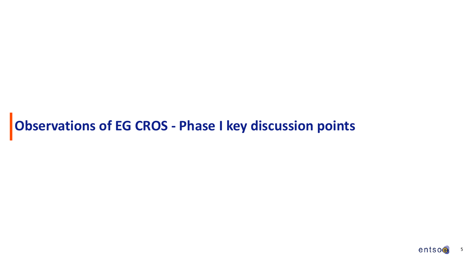# **Observations of EG CROS - Phase I key discussion points**

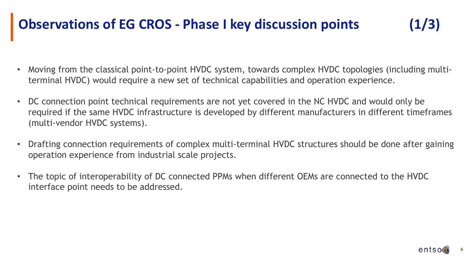# **Observations of EG CROS - Phase I key discussion points (1/3)**

- Moving from the classical point-to-point HVDC system, towards complex HVDC topologies (including multiterminal HVDC) would require a new set of technical capabilities and operation experience.
- DC connection point technical requirements are not yet covered in the NC HVDC and would only be required if the same HVDC infrastructure is developed by different manufacturers in different timeframes (multi-vendor HVDC systems).
- Drafting connection requirements of complex multi-terminal HVDC structures should be done after gaining operation experience from industrial scale projects.
- The topic of interoperability of DC connected PPMs when different OEMs are connected to the HVDC interface point needs to be addressed.

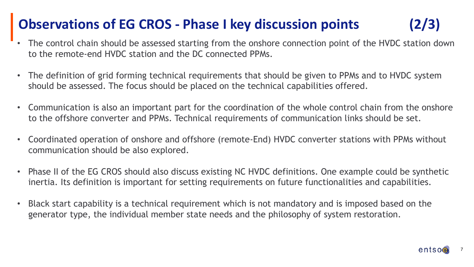# **Observations of EG CROS - Phase I key discussion points (2/3)**

- The control chain should be assessed starting from the onshore connection point of the HVDC station down to the remote-end HVDC station and the DC connected PPMs.
- The definition of grid forming technical requirements that should be given to PPMs and to HVDC system should be assessed. The focus should be placed on the technical capabilities offered.
- Communication is also an important part for the coordination of the whole control chain from the onshore to the offshore converter and PPMs. Technical requirements of communication links should be set.
- Coordinated operation of onshore and offshore (remote-End) HVDC converter stations with PPMs without communication should be also explored.
- Phase II of the EG CROS should also discuss existing NC HVDC definitions. One example could be synthetic inertia. Its definition is important for setting requirements on future functionalities and capabilities.
- Black start capability is a technical requirement which is not mandatory and is imposed based on the generator type, the individual member state needs and the philosophy of system restoration.

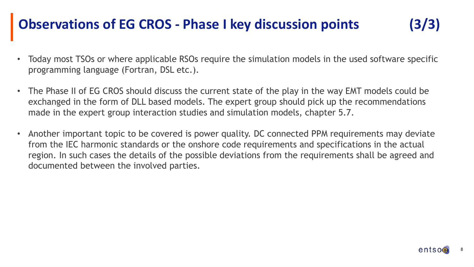### **Observations of EG CROS - Phase I key discussion points (3/3)**

- 
- Today most TSOs or where applicable RSOs require the simulation models in the used software specific programming language (Fortran, DSL etc.).
- The Phase II of EG CROS should discuss the current state of the play in the way EMT models could be exchanged in the form of DLL based models. The expert group should pick up the recommendations made in the expert group interaction studies and simulation models, chapter 5.7.
- Another important topic to be covered is power quality. DC connected PPM requirements may deviate from the IEC harmonic standards or the onshore code requirements and specifications in the actual region. In such cases the details of the possible deviations from the requirements shall be agreed and documented between the involved parties.

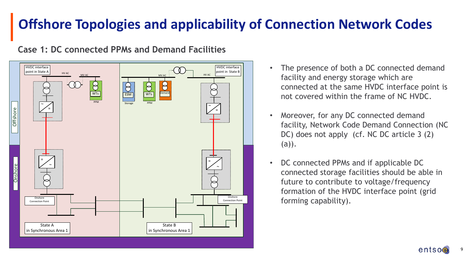#### HVDC interface HVDC interface  $\overline{p}$  HVDC interface point in State B HVDC interface HVDC interface  $HV$  AC HV AC MV AC  $\leftrightarrow$ **ESM** W<sub>Ts</sub> WTs Demand PPM Storage PPM  $\tilde{\phantom{a}}$   $\diagup$  $\tilde{\phantom{a}}$   $\neq$ Offshore = = ~ Onshore ~ **Onshore** Onshore Connection Point Connection Point State A State B in Synchronous Area 1 in Synchronous Area 1

#### **Case 1: DC connected PPMs and Demand Facilities**

- The presence of both a DC connected demand facility and energy storage which are connected at the same HVDC interface point is not covered within the frame of NC HVDC.
- Moreover, for any DC connected demand facility, Network Code Demand Connection (NC DC) does not apply (cf. NC DC article 3 (2) (a)).
- DC connected PPMs and if applicable DC connected storage facilities should be able in future to contribute to voltage/frequency formation of the HVDC interface point (grid forming capability).

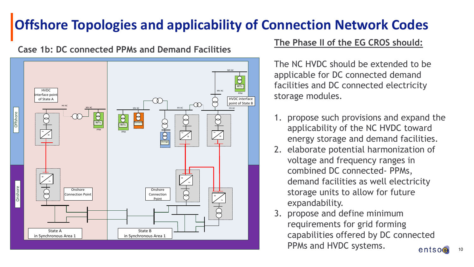**Case 1b: DC connected PPMs and Demand Facilities**



#### **The Phase II of the EG CROS should:**

The NC HVDC should be extended to be applicable for DC connected demand facilities and DC connected electricity storage modules.

- 1. propose such provisions and expand the applicability of the NC HVDC toward energy storage and demand facilities.
- 2. elaborate potential harmonization of voltage and frequency ranges in combined DC connected- PPMs, demand facilities as well electricity storage units to allow for future expandability.
- 3. propose and define minimum requirements for grid forming capabilities offered by DC connected PPMs and HVDC systems. $entso<sub>•</sub>$

10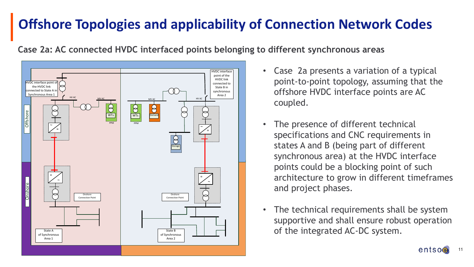**Case 2a: AC connected HVDC interfaced points belonging to different synchronous areas**



- Case 2a presents a variation of a typical point-to-point topology, assuming that the offshore HVDC interface points are AC coupled.
- The presence of different technical specifications and CNC requirements in states A and B (being part of different synchronous area) at the HVDC interface points could be a blocking point of such architecture to grow in different timeframes and project phases.
- The technical requirements shall be system supportive and shall ensure robust operation of the integrated AC-DC system.

11

 $entso<sub>•</sub>$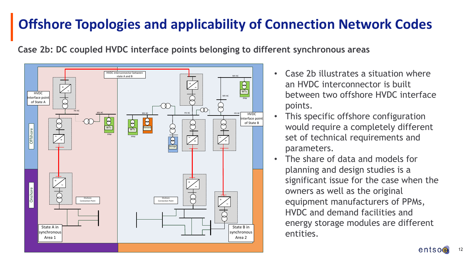**Case 2b: DC coupled HVDC interface points belonging to different synchronous areas**



- Case 2b illustrates a situation where an HVDC interconnector is built between two offshore HVDC interface points.
- This specific offshore configuration would require a completely different set of technical requirements and parameters.
- The share of data and models for planning and design studies is a significant issue for the case when the owners as well as the original equipment manufacturers of PPMs, HVDC and demand facilities and energy storage modules are different entities.

12

entsoe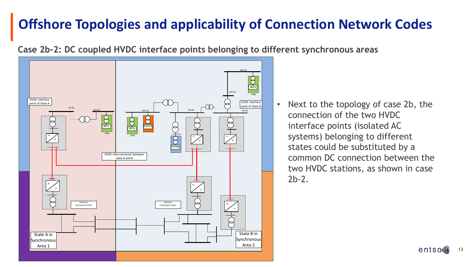**Case 2b-2: DC coupled HVDC interface points belonging to different synchronous areas**



• Next to the topology of case 2b, the connection of the two HVDC interface points (isolated AC systems) belonging to different states could be substituted by a common DC connection between the two HVDC stations, as shown in case 2b-2.

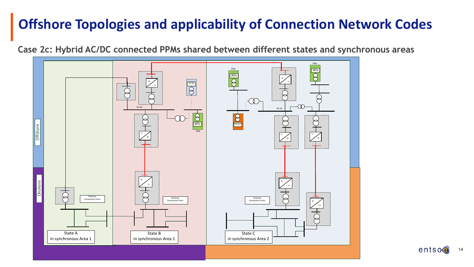**Case 2c: Hybrid AC/DC connected PPMs shared between different states and synchronous areas**



entso 14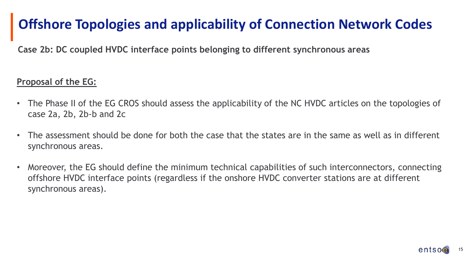**Case 2b: DC coupled HVDC interface points belonging to different synchronous areas**

#### **Proposal of the EG:**

- The Phase II of the EG CROS should assess the applicability of the NC HVDC articles on the topologies of case 2a, 2b, 2b-b and 2c
- The assessment should be done for both the case that the states are in the same as well as in different synchronous areas.
- Moreover, the EG should define the minimum technical capabilities of such interconnectors, connecting offshore HVDC interface points (regardless if the onshore HVDC converter stations are at different synchronous areas).

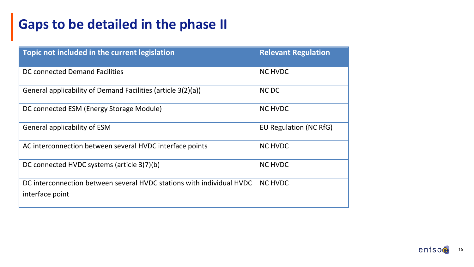# **Gaps to be detailed in the phase II**

| Topic not included in the current legislation                                            | <b>Relevant Regulation</b> |
|------------------------------------------------------------------------------------------|----------------------------|
| DC connected Demand Facilities                                                           | <b>NC HVDC</b>             |
| General applicability of Demand Facilities (article 3(2)(a))                             | <b>NCDC</b>                |
| DC connected ESM (Energy Storage Module)                                                 | <b>NC HVDC</b>             |
| <b>General applicability of ESM</b>                                                      | EU Regulation (NC RfG)     |
| AC interconnection between several HVDC interface points                                 | <b>NC HVDC</b>             |
| DC connected HVDC systems (article 3(7)(b)                                               | <b>NC HVDC</b>             |
| DC interconnection between several HVDC stations with individual HVDC<br>interface point | <b>NC HVDC</b>             |